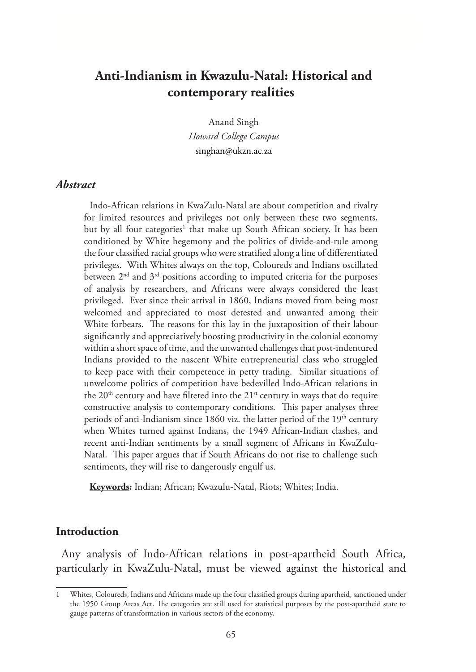# **Anti-Indianism in Kwazulu-Natal: Historical and contemporary realities**

Anand Singh *Howard College Campus* singhan@ukzn.ac.za

### *Abstract*

Indo-African relations in KwaZulu-Natal are about competition and rivalry for limited resources and privileges not only between these two segments, but by all four categories<sup>1</sup> that make up South African society. It has been conditioned by White hegemony and the politics of divide-and-rule among the four classified racial groups who were stratified along a line of differentiated privileges. With Whites always on the top, Coloureds and Indians oscillated between  $2<sup>nd</sup>$  and  $3<sup>rd</sup>$  positions according to imputed criteria for the purposes of analysis by researchers, and Africans were always considered the least privileged. Ever since their arrival in 1860, Indians moved from being most welcomed and appreciated to most detested and unwanted among their White forbears. The reasons for this lay in the juxtaposition of their labour significantly and appreciatively boosting productivity in the colonial economy within a short space of time, and the unwanted challenges that post-indentured Indians provided to the nascent White entrepreneurial class who struggled to keep pace with their competence in petty trading. Similar situations of unwelcome politics of competition have bedevilled Indo-African relations in the  $20<sup>th</sup>$  century and have filtered into the  $21<sup>st</sup>$  century in ways that do require constructive analysis to contemporary conditions. This paper analyses three periods of anti-Indianism since 1860 viz. the latter period of the  $19<sup>th</sup>$  century when Whites turned against Indians, the 1949 African-Indian clashes, and recent anti-Indian sentiments by a small segment of Africans in KwaZulu-Natal. This paper argues that if South Africans do not rise to challenge such sentiments, they will rise to dangerously engulf us.

**Keywords:** Indian; African; Kwazulu-Natal, Riots; Whites; India.

#### **Introduction**

Any analysis of Indo-African relations in post-apartheid South Africa, particularly in KwaZulu-Natal, must be viewed against the historical and

<sup>1</sup> Whites, Coloureds, Indians and Africans made up the four classified groups during apartheid, sanctioned under the 1950 Group Areas Act. The categories are still used for statistical purposes by the post-apartheid state to gauge patterns of transformation in various sectors of the economy.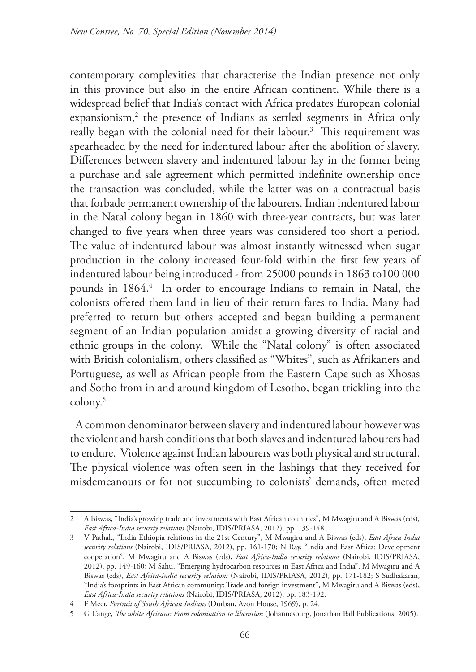contemporary complexities that characterise the Indian presence not only in this province but also in the entire African continent. While there is a widespread belief that India's contact with Africa predates European colonial expansionism,<sup>2</sup> the presence of Indians as settled segments in Africa only really began with the colonial need for their labour.3 This requirement was spearheaded by the need for indentured labour after the abolition of slavery. Differences between slavery and indentured labour lay in the former being a purchase and sale agreement which permitted indefinite ownership once the transaction was concluded, while the latter was on a contractual basis that forbade permanent ownership of the labourers. Indian indentured labour in the Natal colony began in 1860 with three-year contracts, but was later changed to five years when three years was considered too short a period. The value of indentured labour was almost instantly witnessed when sugar production in the colony increased four-fold within the first few years of indentured labour being introduced - from 25000 pounds in 1863 to100 000 pounds in 1864.<sup>4</sup> In order to encourage Indians to remain in Natal, the colonists offered them land in lieu of their return fares to India. Many had preferred to return but others accepted and began building a permanent segment of an Indian population amidst a growing diversity of racial and ethnic groups in the colony. While the "Natal colony" is often associated with British colonialism, others classified as "Whites", such as Afrikaners and Portuguese, as well as African people from the Eastern Cape such as Xhosas and Sotho from in and around kingdom of Lesotho, began trickling into the colony.5

A common denominator between slavery and indentured labour however was the violent and harsh conditions that both slaves and indentured labourers had to endure. Violence against Indian labourers was both physical and structural. The physical violence was often seen in the lashings that they received for misdemeanours or for not succumbing to colonists' demands, often meted

<sup>2</sup> A Biswas, "India's growing trade and investments with East African countries", M Mwagiru and A Biswas (eds), *East Africa-India security relations* (Nairobi, IDIS/PRIASA, 2012), pp. 139-148.

<sup>3</sup> V Pathak, "India-Ethiopia relations in the 21st Century", M Mwagiru and A Biswas (eds), *East Africa-India security relations* (Nairobi, IDIS/PRIASA, 2012), pp. 161-170; N Ray, "India and East Africa: Development cooperation", M Mwagiru and A Biswas (eds), *East Africa-India security relations* (Nairobi, IDIS/PRIASA, 2012), pp. 149-160; M Sahu, "Emerging hydrocarbon resources in East Africa and India", M Mwagiru and A Biswas (eds), *East Africa-India security relations* (Nairobi, IDIS/PRIASA, 2012), pp. 171-182; S Sudhakaran, "India's footprints in East African community: Trade and foreign investment", M Mwagiru and A Biswas (eds), *East Africa-India security relations* (Nairobi, IDIS/PRIASA, 2012), pp. 183-192.

<sup>4</sup> F Meer, *Portrait of South African Indians* (Durban, Avon House, 1969), p. 24.

<sup>5</sup> G L'ange, *The white Africans: From colonisation to liberation* (Johannesburg, Jonathan Ball Publications, 2005).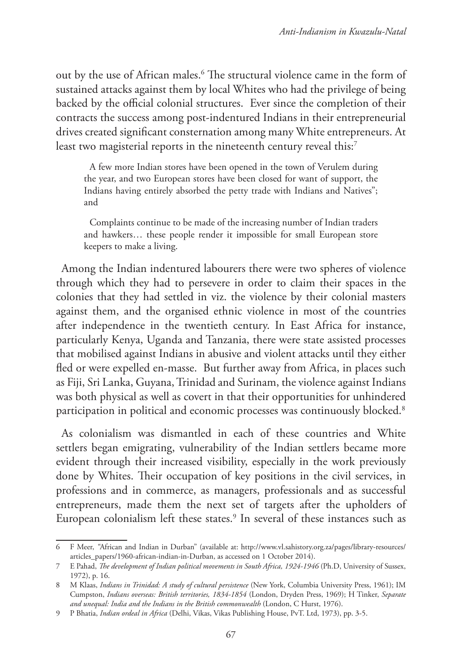out by the use of African males.6 The structural violence came in the form of sustained attacks against them by local Whites who had the privilege of being backed by the official colonial structures. Ever since the completion of their contracts the success among post-indentured Indians in their entrepreneurial drives created significant consternation among many White entrepreneurs. At least two magisterial reports in the nineteenth century reveal this:<sup>7</sup>

A few more Indian stores have been opened in the town of Verulem during the year, and two European stores have been closed for want of support, the Indians having entirely absorbed the petty trade with Indians and Natives"; and

Complaints continue to be made of the increasing number of Indian traders and hawkers… these people render it impossible for small European store keepers to make a living.

Among the Indian indentured labourers there were two spheres of violence through which they had to persevere in order to claim their spaces in the colonies that they had settled in viz. the violence by their colonial masters against them, and the organised ethnic violence in most of the countries after independence in the twentieth century. In East Africa for instance, particularly Kenya, Uganda and Tanzania, there were state assisted processes that mobilised against Indians in abusive and violent attacks until they either fled or were expelled en-masse. But further away from Africa, in places such as Fiji, Sri Lanka, Guyana, Trinidad and Surinam, the violence against Indians was both physical as well as covert in that their opportunities for unhindered participation in political and economic processes was continuously blocked.<sup>8</sup>

As colonialism was dismantled in each of these countries and White settlers began emigrating, vulnerability of the Indian settlers became more evident through their increased visibility, especially in the work previously done by Whites. Their occupation of key positions in the civil services, in professions and in commerce, as managers, professionals and as successful entrepreneurs, made them the next set of targets after the upholders of European colonialism left these states.<sup>9</sup> In several of these instances such as

<sup>6</sup> F Meer, *"*African and Indian in Durban" (available at: http://www.vl.sahistory.org.za/pages/library-resources/ articles\_papers/1960-african-indian-in-Durban, as accessed on 1 October 2014).

<sup>7</sup> E Pahad, *The development of Indian political movements in South Africa, 1924-1946* (Ph.D, University of Sussex, 1972), p. 16.

<sup>8</sup> M Klaas, *Indians in Trinidad: A study of cultural persistence* (New York, Columbia University Press, 1961); IM Cumpston, *Indians overseas: British territories, 1834-1854* (London, Dryden Press, 1969); H Tinker, *Separate and unequal: India and the Indians in the British commonwealth* (London, C Hurst, 1976).

<sup>9</sup> P Bhatia, *Indian ordeal in Africa* (Delhi, Vikas, Vikas Publishing House, PvT. Ltd, 1973), pp. 3-5.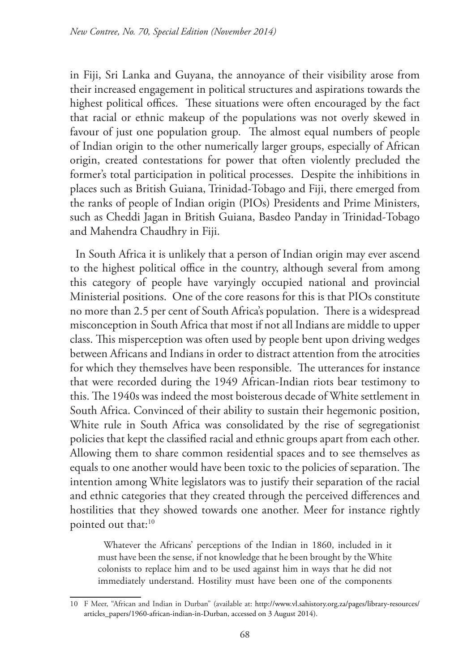in Fiji, Sri Lanka and Guyana, the annoyance of their visibility arose from their increased engagement in political structures and aspirations towards the highest political offices. These situations were often encouraged by the fact that racial or ethnic makeup of the populations was not overly skewed in favour of just one population group. The almost equal numbers of people of Indian origin to the other numerically larger groups, especially of African origin, created contestations for power that often violently precluded the former's total participation in political processes. Despite the inhibitions in places such as British Guiana, Trinidad-Tobago and Fiji, there emerged from the ranks of people of Indian origin (PIOs) Presidents and Prime Ministers, such as Cheddi Jagan in British Guiana, Basdeo Panday in Trinidad-Tobago and Mahendra Chaudhry in Fiji.

In South Africa it is unlikely that a person of Indian origin may ever ascend to the highest political office in the country, although several from among this category of people have varyingly occupied national and provincial Ministerial positions. One of the core reasons for this is that PIOs constitute no more than 2.5 per cent of South Africa's population. There is a widespread misconception in South Africa that most if not all Indians are middle to upper class. This misperception was often used by people bent upon driving wedges between Africans and Indians in order to distract attention from the atrocities for which they themselves have been responsible. The utterances for instance that were recorded during the 1949 African-Indian riots bear testimony to this. The 1940s was indeed the most boisterous decade of White settlement in South Africa. Convinced of their ability to sustain their hegemonic position, White rule in South Africa was consolidated by the rise of segregationist policies that kept the classified racial and ethnic groups apart from each other. Allowing them to share common residential spaces and to see themselves as equals to one another would have been toxic to the policies of separation. The intention among White legislators was to justify their separation of the racial and ethnic categories that they created through the perceived differences and hostilities that they showed towards one another. Meer for instance rightly pointed out that:<sup>10</sup>

Whatever the Africans' perceptions of the Indian in 1860, included in it must have been the sense, if not knowledge that he been brought by the White colonists to replace him and to be used against him in ways that he did not immediately understand. Hostility must have been one of the components

<sup>10</sup> F Meer, "African and Indian in Durban" (available at: http://www.vl.sahistory.org.za/pages/library-resources/ articles\_papers/1960-african-indian-in-Durban, accessed on 3 August 2014).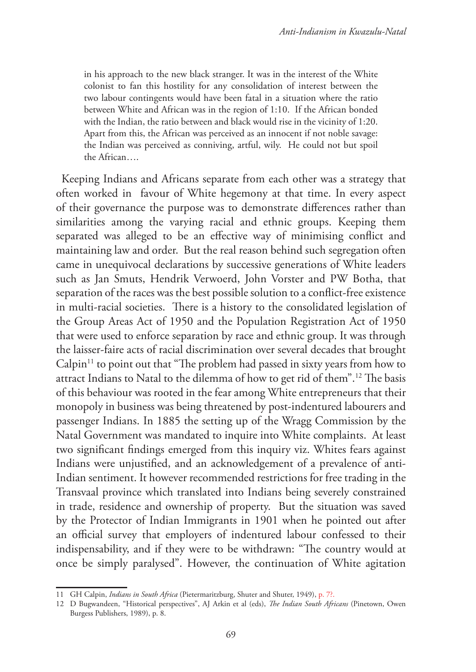in his approach to the new black stranger. It was in the interest of the White colonist to fan this hostility for any consolidation of interest between the two labour contingents would have been fatal in a situation where the ratio between White and African was in the region of 1:10. If the African bonded with the Indian, the ratio between and black would rise in the vicinity of 1:20. Apart from this, the African was perceived as an innocent if not noble savage: the Indian was perceived as conniving, artful, wily. He could not but spoil the African….

Keeping Indians and Africans separate from each other was a strategy that often worked in favour of White hegemony at that time. In every aspect of their governance the purpose was to demonstrate differences rather than similarities among the varying racial and ethnic groups. Keeping them separated was alleged to be an effective way of minimising conflict and maintaining law and order. But the real reason behind such segregation often came in unequivocal declarations by successive generations of White leaders such as Jan Smuts, Hendrik Verwoerd, John Vorster and PW Botha, that separation of the races was the best possible solution to a conflict-free existence in multi-racial societies. There is a history to the consolidated legislation of the Group Areas Act of 1950 and the Population Registration Act of 1950 that were used to enforce separation by race and ethnic group. It was through the laisser-faire acts of racial discrimination over several decades that brought  $Calpin<sup>11</sup>$  to point out that "The problem had passed in sixty years from how to attract Indians to Natal to the dilemma of how to get rid of them".12 The basis of this behaviour was rooted in the fear among White entrepreneurs that their monopoly in business was being threatened by post-indentured labourers and passenger Indians. In 1885 the setting up of the Wragg Commission by the Natal Government was mandated to inquire into White complaints. At least two significant findings emerged from this inquiry viz. Whites fears against Indians were unjustified, and an acknowledgement of a prevalence of anti-Indian sentiment. It however recommended restrictions for free trading in the Transvaal province which translated into Indians being severely constrained in trade, residence and ownership of property. But the situation was saved by the Protector of Indian Immigrants in 1901 when he pointed out after an official survey that employers of indentured labour confessed to their indispensability, and if they were to be withdrawn: "The country would at once be simply paralysed". However, the continuation of White agitation

<sup>11</sup> GH Calpin, *Indians in South Africa* (Pietermaritzburg, Shuter and Shuter, 1949), p. 7?.

<sup>12</sup> D Bugwandeen, "Historical perspectives", AJ Arkin et al (eds), *The Indian South Africans* (Pinetown, Owen Burgess Publishers, 1989), p. 8.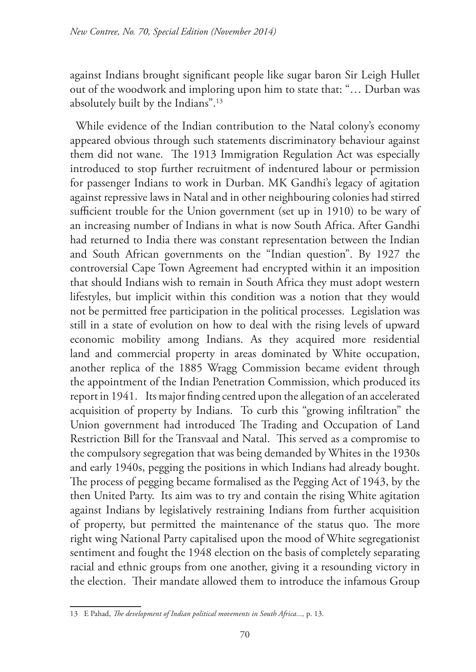against Indians brought significant people like sugar baron Sir Leigh Hullet out of the woodwork and imploring upon him to state that: "… Durban was absolutely built by the Indians".13

While evidence of the Indian contribution to the Natal colony's economy appeared obvious through such statements discriminatory behaviour against them did not wane. The 1913 Immigration Regulation Act was especially introduced to stop further recruitment of indentured labour or permission for passenger Indians to work in Durban. MK Gandhi's legacy of agitation against repressive laws in Natal and in other neighbouring colonies had stirred sufficient trouble for the Union government (set up in 1910) to be wary of an increasing number of Indians in what is now South Africa. After Gandhi had returned to India there was constant representation between the Indian and South African governments on the "Indian question". By 1927 the controversial Cape Town Agreement had encrypted within it an imposition that should Indians wish to remain in South Africa they must adopt western lifestyles, but implicit within this condition was a notion that they would not be permitted free participation in the political processes. Legislation was still in a state of evolution on how to deal with the rising levels of upward economic mobility among Indians. As they acquired more residential land and commercial property in areas dominated by White occupation, another replica of the 1885 Wragg Commission became evident through the appointment of the Indian Penetration Commission, which produced its report in 1941. Its major finding centred upon the allegation of an accelerated acquisition of property by Indians. To curb this "growing infiltration" the Union government had introduced The Trading and Occupation of Land Restriction Bill for the Transvaal and Natal. This served as a compromise to the compulsory segregation that was being demanded by Whites in the 1930s and early 1940s, pegging the positions in which Indians had already bought. The process of pegging became formalised as the Pegging Act of 1943, by the then United Party. Its aim was to try and contain the rising White agitation against Indians by legislatively restraining Indians from further acquisition of property, but permitted the maintenance of the status quo. The more right wing National Party capitalised upon the mood of White segregationist sentiment and fought the 1948 election on the basis of completely separating racial and ethnic groups from one another, giving it a resounding victory in the election. Their mandate allowed them to introduce the infamous Group

<sup>13</sup> E Pahad, *The development of Indian political movements in South Africa...,* p. 13.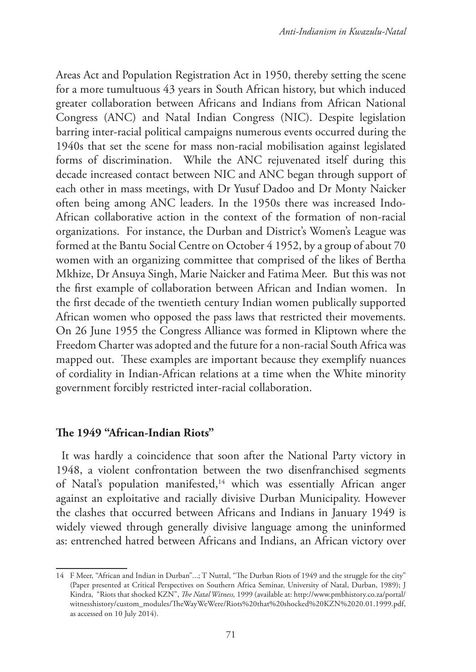Areas Act and Population Registration Act in 1950, thereby setting the scene for a more tumultuous 43 years in South African history, but which induced greater collaboration between Africans and Indians from African National Congress (ANC) and Natal Indian Congress (NIC). Despite legislation barring inter-racial political campaigns numerous events occurred during the 1940s that set the scene for mass non-racial mobilisation against legislated forms of discrimination. While the ANC rejuvenated itself during this decade increased contact between NIC and ANC began through support of each other in mass meetings, with Dr Yusuf Dadoo and Dr Monty Naicker often being among ANC leaders. In the 1950s there was increased Indo-African collaborative action in the context of the formation of non-racial organizations. For instance, the Durban and District's Women's League was formed at the Bantu Social Centre on October 4 1952, by a group of about 70 women with an organizing committee that comprised of the likes of Bertha Mkhize, Dr Ansuya Singh, Marie Naicker and Fatima Meer. But this was not the first example of collaboration between African and Indian women. In the first decade of the twentieth century Indian women publically supported African women who opposed the pass laws that restricted their movements. On 26 June 1955 the Congress Alliance was formed in Kliptown where the Freedom Charter was adopted and the future for a non-racial South Africa was mapped out. These examples are important because they exemplify nuances of cordiality in Indian-African relations at a time when the White minority government forcibly restricted inter-racial collaboration.

## **The 1949 "African-Indian Riots"**

It was hardly a coincidence that soon after the National Party victory in 1948, a violent confrontation between the two disenfranchised segments of Natal's population manifested,<sup>14</sup> which was essentially African anger against an exploitative and racially divisive Durban Municipality. However the clashes that occurred between Africans and Indians in January 1949 is widely viewed through generally divisive language among the uninformed as: entrenched hatred between Africans and Indians, an African victory over

<sup>14</sup> F Meer, "African and Indian in Durban"...; T Nuttal, "The Durban Riots of 1949 and the struggle for the city" (Paper presented at Critical Perspectives on Southern Africa Seminar, University of Natal, Durban, 1989); J Kindra, "Riots that shocked KZN", *The Natal Witness,* 1999 (available at: http://www.pmbhistory.co.za/portal/ witnesshistory/custom\_modules/TheWayWeWere/Riots%20that%20shocked%20KZN%2020.01.1999.pdf, as accessed on 10 July 2014).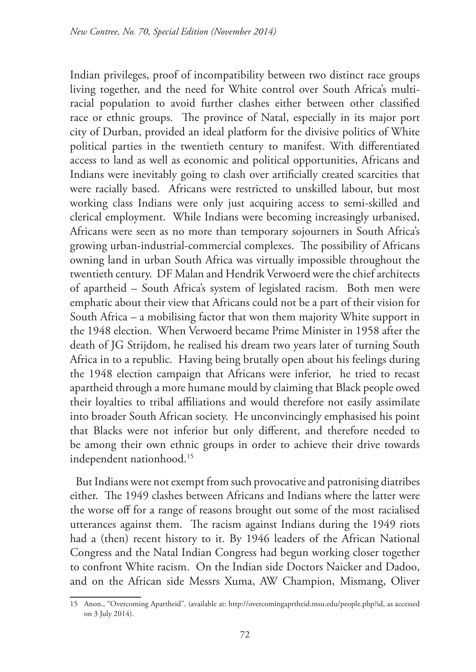Indian privileges, proof of incompatibility between two distinct race groups living together, and the need for White control over South Africa's multiracial population to avoid further clashes either between other classified race or ethnic groups. The province of Natal, especially in its major port city of Durban, provided an ideal platform for the divisive politics of White political parties in the twentieth century to manifest. With differentiated access to land as well as economic and political opportunities, Africans and Indians were inevitably going to clash over artificially created scarcities that were racially based. Africans were restricted to unskilled labour, but most working class Indians were only just acquiring access to semi-skilled and clerical employment. While Indians were becoming increasingly urbanised, Africans were seen as no more than temporary sojourners in South Africa's growing urban-industrial-commercial complexes. The possibility of Africans owning land in urban South Africa was virtually impossible throughout the twentieth century. DF Malan and Hendrik Verwoerd were the chief architects of apartheid – South Africa's system of legislated racism. Both men were emphatic about their view that Africans could not be a part of their vision for South Africa – a mobilising factor that won them majority White support in the 1948 election. When Verwoerd became Prime Minister in 1958 after the death of JG Strijdom, he realised his dream two years later of turning South Africa in to a republic. Having being brutally open about his feelings during the 1948 election campaign that Africans were inferior, he tried to recast apartheid through a more humane mould by claiming that Black people owed their loyalties to tribal affiliations and would therefore not easily assimilate into broader South African society. He unconvincingly emphasised his point that Blacks were not inferior but only different, and therefore needed to be among their own ethnic groups in order to achieve their drive towards independent nationhood.<sup>15</sup>

But Indians were not exempt from such provocative and patronising diatribes either. The 1949 clashes between Africans and Indians where the latter were the worse off for a range of reasons brought out some of the most racialised utterances against them. The racism against Indians during the 1949 riots had a (then) recent history to it. By 1946 leaders of the African National Congress and the Natal Indian Congress had begun working closer together to confront White racism. On the Indian side Doctors Naicker and Dadoo, and on the African side Messrs Xuma, AW Champion, Mismang, Oliver

<sup>15</sup> Anon., "Overcoming Apartheid", (available at: http://overcomingaprtheid.msu.edu/people.php?id, as accessed on 3 July 2014).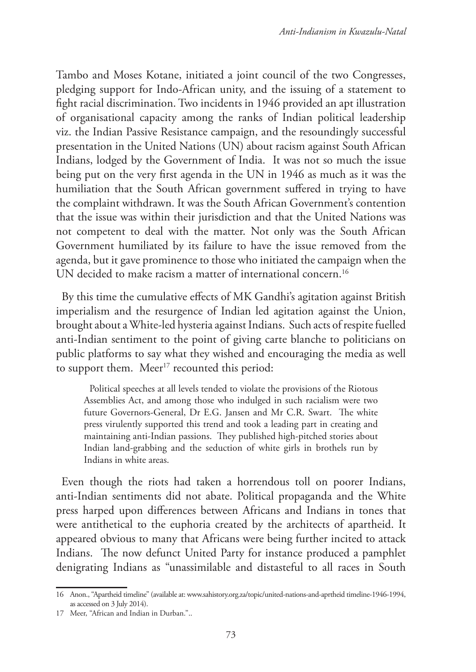Tambo and Moses Kotane, initiated a joint council of the two Congresses, pledging support for Indo-African unity, and the issuing of a statement to fight racial discrimination. Two incidents in 1946 provided an apt illustration of organisational capacity among the ranks of Indian political leadership viz. the Indian Passive Resistance campaign, and the resoundingly successful presentation in the United Nations (UN) about racism against South African Indians, lodged by the Government of India. It was not so much the issue being put on the very first agenda in the UN in 1946 as much as it was the humiliation that the South African government suffered in trying to have the complaint withdrawn. It was the South African Government's contention that the issue was within their jurisdiction and that the United Nations was not competent to deal with the matter. Not only was the South African Government humiliated by its failure to have the issue removed from the agenda, but it gave prominence to those who initiated the campaign when the UN decided to make racism a matter of international concern.<sup>16</sup>

By this time the cumulative effects of MK Gandhi's agitation against British imperialism and the resurgence of Indian led agitation against the Union, brought about a White-led hysteria against Indians. Such acts of respite fuelled anti-Indian sentiment to the point of giving carte blanche to politicians on public platforms to say what they wished and encouraging the media as well to support them. Meer<sup>17</sup> recounted this period:

Political speeches at all levels tended to violate the provisions of the Riotous Assemblies Act, and among those who indulged in such racialism were two future Governors-General, Dr E.G. Jansen and Mr C.R. Swart. The white press virulently supported this trend and took a leading part in creating and maintaining anti-Indian passions. They published high-pitched stories about Indian land-grabbing and the seduction of white girls in brothels run by Indians in white areas.

Even though the riots had taken a horrendous toll on poorer Indians, anti-Indian sentiments did not abate. Political propaganda and the White press harped upon differences between Africans and Indians in tones that were antithetical to the euphoria created by the architects of apartheid. It appeared obvious to many that Africans were being further incited to attack Indians. The now defunct United Party for instance produced a pamphlet denigrating Indians as "unassimilable and distasteful to all races in South

<sup>16</sup> Anon., "Apartheid timeline" (available at: www.sahistory.org.za/topic/united-nations-and-aprtheid timeline-1946-1994, as accessed on 3 July 2014).

<sup>17</sup> Meer, "African and Indian in Durban."..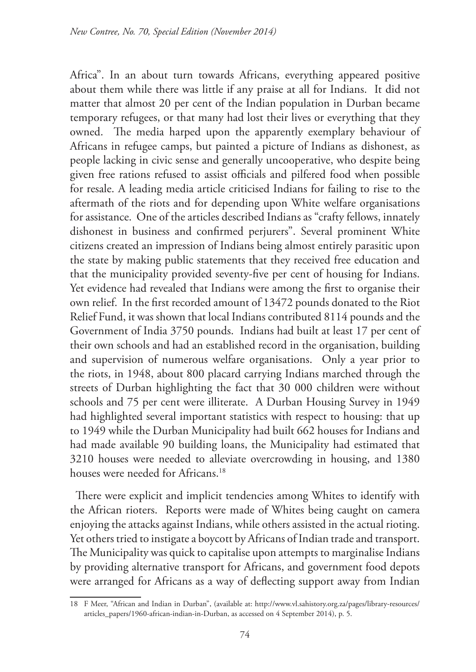Africa". In an about turn towards Africans, everything appeared positive about them while there was little if any praise at all for Indians. It did not matter that almost 20 per cent of the Indian population in Durban became temporary refugees, or that many had lost their lives or everything that they owned. The media harped upon the apparently exemplary behaviour of Africans in refugee camps, but painted a picture of Indians as dishonest, as people lacking in civic sense and generally uncooperative, who despite being given free rations refused to assist officials and pilfered food when possible for resale. A leading media article criticised Indians for failing to rise to the aftermath of the riots and for depending upon White welfare organisations for assistance. One of the articles described Indians as "crafty fellows, innately dishonest in business and confirmed perjurers". Several prominent White citizens created an impression of Indians being almost entirely parasitic upon the state by making public statements that they received free education and that the municipality provided seventy-five per cent of housing for Indians. Yet evidence had revealed that Indians were among the first to organise their own relief. In the first recorded amount of 13472 pounds donated to the Riot Relief Fund, it was shown that local Indians contributed 8114 pounds and the Government of India 3750 pounds. Indians had built at least 17 per cent of their own schools and had an established record in the organisation, building and supervision of numerous welfare organisations. Only a year prior to the riots, in 1948, about 800 placard carrying Indians marched through the streets of Durban highlighting the fact that 30 000 children were without schools and 75 per cent were illiterate. A Durban Housing Survey in 1949 had highlighted several important statistics with respect to housing: that up to 1949 while the Durban Municipality had built 662 houses for Indians and had made available 90 building loans, the Municipality had estimated that 3210 houses were needed to alleviate overcrowding in housing, and 1380 houses were needed for Africans.<sup>18</sup>

There were explicit and implicit tendencies among Whites to identify with the African rioters. Reports were made of Whites being caught on camera enjoying the attacks against Indians, while others assisted in the actual rioting. Yet others tried to instigate a boycott by Africans of Indian trade and transport. The Municipality was quick to capitalise upon attempts to marginalise Indians by providing alternative transport for Africans, and government food depots were arranged for Africans as a way of deflecting support away from Indian

<sup>18</sup> F Meer, "African and Indian in Durban", (available at: http://www.vl.sahistory.org.za/pages/library-resources/ articles\_papers/1960-african-indian-in-Durban, as accessed on 4 September 2014), p. 5.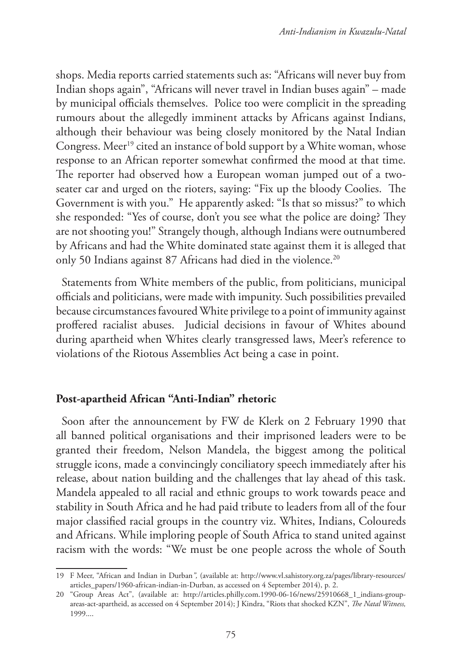shops. Media reports carried statements such as: "Africans will never buy from Indian shops again", "Africans will never travel in Indian buses again" – made by municipal officials themselves. Police too were complicit in the spreading rumours about the allegedly imminent attacks by Africans against Indians, although their behaviour was being closely monitored by the Natal Indian Congress. Meer<sup>19</sup> cited an instance of bold support by a White woman, whose response to an African reporter somewhat confirmed the mood at that time. The reporter had observed how a European woman jumped out of a twoseater car and urged on the rioters, saying: "Fix up the bloody Coolies. The Government is with you." He apparently asked: "Is that so missus?" to which she responded: "Yes of course, don't you see what the police are doing? They are not shooting you!" Strangely though, although Indians were outnumbered by Africans and had the White dominated state against them it is alleged that only 50 Indians against 87 Africans had died in the violence.<sup>20</sup>

Statements from White members of the public, from politicians, municipal officials and politicians, were made with impunity. Such possibilities prevailed because circumstances favoured White privilege to a point of immunity against proffered racialist abuses. Judicial decisions in favour of Whites abound during apartheid when Whites clearly transgressed laws, Meer's reference to violations of the Riotous Assemblies Act being a case in point.

# **Post-apartheid African "Anti-Indian" rhetoric**

Soon after the announcement by FW de Klerk on 2 February 1990 that all banned political organisations and their imprisoned leaders were to be granted their freedom, Nelson Mandela, the biggest among the political struggle icons, made a convincingly conciliatory speech immediately after his release, about nation building and the challenges that lay ahead of this task. Mandela appealed to all racial and ethnic groups to work towards peace and stability in South Africa and he had paid tribute to leaders from all of the four major classified racial groups in the country viz. Whites, Indians, Coloureds and Africans. While imploring people of South Africa to stand united against racism with the words: "We must be one people across the whole of South

<sup>19</sup> F Meer, "African and Indian in Durban*",* (available at: http://www.vl.sahistory.org.za/pages/library-resources/ articles\_papers/1960-african-indian-in-Durban, as accessed on 4 September 2014), p. 2.

<sup>20</sup> "Group Areas Act", (available at: http://articles.philly.com.1990-06-16/news/25910668\_1\_indians-groupareas-act-apartheid, as accessed on 4 September 2014); J Kindra, "Riots that shocked KZN", *The Natal Witness,*  1999....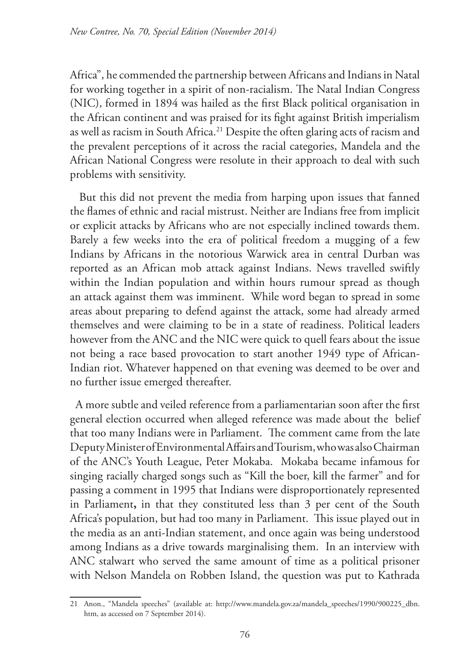Africa", he commended the partnership between Africans and Indians in Natal for working together in a spirit of non-racialism. The Natal Indian Congress (NIC), formed in 1894 was hailed as the first Black political organisation in the African continent and was praised for its fight against British imperialism as well as racism in South Africa.<sup>21</sup> Despite the often glaring acts of racism and the prevalent perceptions of it across the racial categories, Mandela and the African National Congress were resolute in their approach to deal with such problems with sensitivity.

 But this did not prevent the media from harping upon issues that fanned the flames of ethnic and racial mistrust. Neither are Indians free from implicit or explicit attacks by Africans who are not especially inclined towards them. Barely a few weeks into the era of political freedom a mugging of a few Indians by Africans in the notorious Warwick area in central Durban was reported as an African mob attack against Indians. News travelled swiftly within the Indian population and within hours rumour spread as though an attack against them was imminent. While word began to spread in some areas about preparing to defend against the attack, some had already armed themselves and were claiming to be in a state of readiness. Political leaders however from the ANC and the NIC were quick to quell fears about the issue not being a race based provocation to start another 1949 type of African-Indian riot. Whatever happened on that evening was deemed to be over and no further issue emerged thereafter.

A more subtle and veiled reference from a parliamentarian soon after the first general election occurred when alleged reference was made about the belief that too many Indians were in Parliament. The comment came from the late Deputy Minister of Environmental Affairs and Tourism, who was also Chairman of the ANC's Youth League, Peter Mokaba. Mokaba became infamous for singing racially charged songs such as "Kill the boer, kill the farmer" and for passing a comment in 1995 that Indians were disproportionately represented in Parliament**,** in that they constituted less than 3 per cent of the South Africa's population, but had too many in Parliament. This issue played out in the media as an anti-Indian statement, and once again was being understood among Indians as a drive towards marginalising them. In an interview with ANC stalwart who served the same amount of time as a political prisoner with Nelson Mandela on Robben Island, the question was put to Kathrada

<sup>21</sup> Anon., "Mandela speeches" (available at: http://www.mandela.gov.za/mandela\_speeches/1990/900225\_dbn. htm, as accessed on 7 September 2014).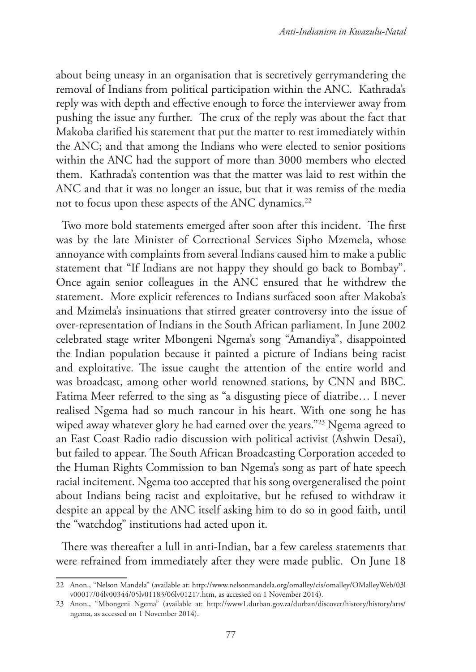about being uneasy in an organisation that is secretively gerrymandering the removal of Indians from political participation within the ANC. Kathrada's reply was with depth and effective enough to force the interviewer away from pushing the issue any further. The crux of the reply was about the fact that Makoba clarified his statement that put the matter to rest immediately within the ANC; and that among the Indians who were elected to senior positions within the ANC had the support of more than 3000 members who elected them. Kathrada's contention was that the matter was laid to rest within the ANC and that it was no longer an issue, but that it was remiss of the media not to focus upon these aspects of the ANC dynamics.<sup>22</sup>

Two more bold statements emerged after soon after this incident. The first was by the late Minister of Correctional Services Sipho Mzemela, whose annoyance with complaints from several Indians caused him to make a public statement that "If Indians are not happy they should go back to Bombay". Once again senior colleagues in the ANC ensured that he withdrew the statement. More explicit references to Indians surfaced soon after Makoba's and Mzimela's insinuations that stirred greater controversy into the issue of over-representation of Indians in the South African parliament. In June 2002 celebrated stage writer Mbongeni Ngema's song "Amandiya", disappointed the Indian population because it painted a picture of Indians being racist and exploitative. The issue caught the attention of the entire world and was broadcast, among other world renowned stations, by CNN and BBC. Fatima Meer referred to the sing as "a disgusting piece of diatribe… I never realised Ngema had so much rancour in his heart. With one song he has wiped away whatever glory he had earned over the years."<sup>23</sup> Ngema agreed to an East Coast Radio radio discussion with political activist (Ashwin Desai), but failed to appear. The South African Broadcasting Corporation acceded to the Human Rights Commission to ban Ngema's song as part of hate speech racial incitement. Ngema too accepted that his song overgeneralised the point about Indians being racist and exploitative, but he refused to withdraw it despite an appeal by the ANC itself asking him to do so in good faith, until the "watchdog" institutions had acted upon it.

There was thereafter a lull in anti-Indian, bar a few careless statements that were refrained from immediately after they were made public. On June 18

<sup>22</sup> Anon., "Nelson Mandela" (available at: http://www.nelsonmandela.org/omalley/cis/omalley/OMalleyWeb/03l v00017/04lv00344/05lv01183/06lv01217.htm, as accessed on 1 November 2014).

<sup>23</sup> Anon., "Mbongeni Ngema" (available at: http://www1.durban.gov.za/durban/discover/history/history/arts/ ngema, as accessed on 1 November 2014).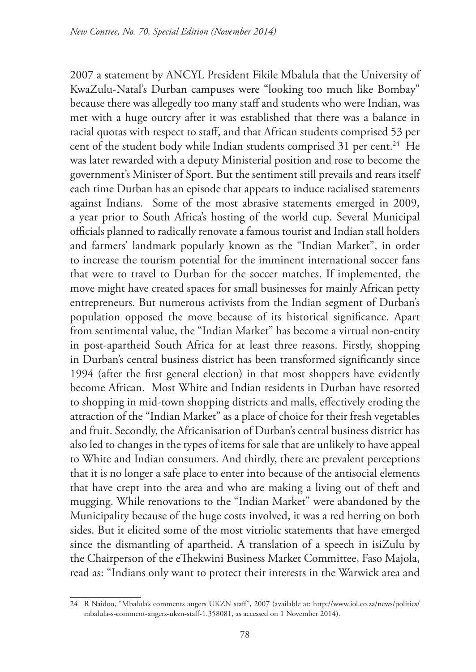2007 a statement by ANCYL President Fikile Mbalula that the University of KwaZulu-Natal's Durban campuses were "looking too much like Bombay" because there was allegedly too many staff and students who were Indian, was met with a huge outcry after it was established that there was a balance in racial quotas with respect to staff, and that African students comprised 53 per cent of the student body while Indian students comprised 31 per cent.<sup>24</sup> He was later rewarded with a deputy Ministerial position and rose to become the government's Minister of Sport. But the sentiment still prevails and rears itself each time Durban has an episode that appears to induce racialised statements against Indians. Some of the most abrasive statements emerged in 2009, a year prior to South Africa's hosting of the world cup. Several Municipal officials planned to radically renovate a famous tourist and Indian stall holders and farmers' landmark popularly known as the "Indian Market", in order to increase the tourism potential for the imminent international soccer fans that were to travel to Durban for the soccer matches. If implemented, the move might have created spaces for small businesses for mainly African petty entrepreneurs. But numerous activists from the Indian segment of Durban's population opposed the move because of its historical significance. Apart from sentimental value, the "Indian Market" has become a virtual non-entity in post-apartheid South Africa for at least three reasons. Firstly, shopping in Durban's central business district has been transformed significantly since 1994 (after the first general election) in that most shoppers have evidently become African. Most White and Indian residents in Durban have resorted to shopping in mid-town shopping districts and malls, effectively eroding the attraction of the "Indian Market" as a place of choice for their fresh vegetables and fruit. Secondly, the Africanisation of Durban's central business district has also led to changes in the types of items for sale that are unlikely to have appeal to White and Indian consumers. And thirdly, there are prevalent perceptions that it is no longer a safe place to enter into because of the antisocial elements that have crept into the area and who are making a living out of theft and mugging. While renovations to the "Indian Market" were abandoned by the Municipality because of the huge costs involved, it was a red herring on both sides. But it elicited some of the most vitriolic statements that have emerged since the dismantling of apartheid. A translation of a speech in isiZulu by the Chairperson of the eThekwini Business Market Committee, Faso Majola, read as: "Indians only want to protect their interests in the Warwick area and

<sup>24</sup> R Naidoo, "Mbalula's comments angers UKZN staff", 2007 (available at: http://www.iol.co.za/news/politics/ mbalula-s-comment-angers-ukzn-staff-1.358081, as accessed on 1 November 2014).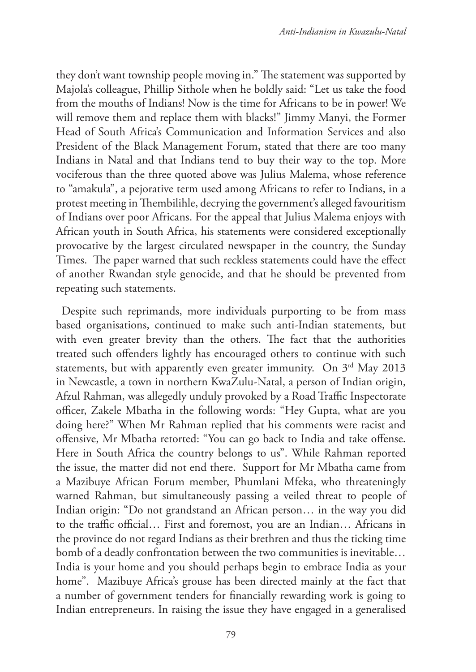they don't want township people moving in." The statement was supported by Majola's colleague, Phillip Sithole when he boldly said: "Let us take the food from the mouths of Indians! Now is the time for Africans to be in power! We will remove them and replace them with blacks!" Jimmy Manyi, the Former Head of South Africa's Communication and Information Services and also President of the Black Management Forum, stated that there are too many Indians in Natal and that Indians tend to buy their way to the top. More vociferous than the three quoted above was Julius Malema, whose reference to "amakula", a pejorative term used among Africans to refer to Indians, in a protest meeting in Thembilihle, decrying the government's alleged favouritism of Indians over poor Africans. For the appeal that Julius Malema enjoys with African youth in South Africa, his statements were considered exceptionally provocative by the largest circulated newspaper in the country, the Sunday Times. The paper warned that such reckless statements could have the effect of another Rwandan style genocide, and that he should be prevented from repeating such statements.

Despite such reprimands, more individuals purporting to be from mass based organisations, continued to make such anti-Indian statements, but with even greater brevity than the others. The fact that the authorities treated such offenders lightly has encouraged others to continue with such statements, but with apparently even greater immunity. On 3<sup>rd</sup> May 2013 in Newcastle, a town in northern KwaZulu-Natal, a person of Indian origin, Afzul Rahman, was allegedly unduly provoked by a Road Traffic Inspectorate officer, Zakele Mbatha in the following words: "Hey Gupta, what are you doing here?" When Mr Rahman replied that his comments were racist and offensive, Mr Mbatha retorted: "You can go back to India and take offense. Here in South Africa the country belongs to us". While Rahman reported the issue, the matter did not end there. Support for Mr Mbatha came from a Mazibuye African Forum member, Phumlani Mfeka, who threateningly warned Rahman, but simultaneously passing a veiled threat to people of Indian origin: "Do not grandstand an African person… in the way you did to the traffic official… First and foremost, you are an Indian… Africans in the province do not regard Indians as their brethren and thus the ticking time bomb of a deadly confrontation between the two communities is inevitable… India is your home and you should perhaps begin to embrace India as your home". Mazibuye Africa's grouse has been directed mainly at the fact that a number of government tenders for financially rewarding work is going to Indian entrepreneurs. In raising the issue they have engaged in a generalised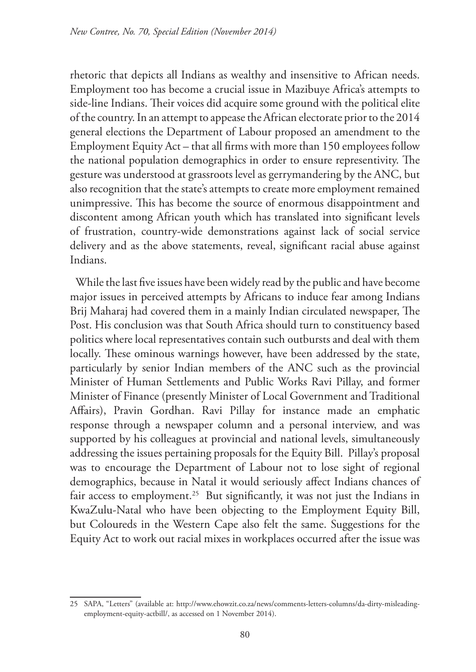rhetoric that depicts all Indians as wealthy and insensitive to African needs. Employment too has become a crucial issue in Mazibuye Africa's attempts to side-line Indians. Their voices did acquire some ground with the political elite of the country. In an attempt to appease the African electorate prior to the 2014 general elections the Department of Labour proposed an amendment to the Employment Equity Act – that all firms with more than 150 employees follow the national population demographics in order to ensure representivity. The gesture was understood at grassroots level as gerrymandering by the ANC, but also recognition that the state's attempts to create more employment remained unimpressive. This has become the source of enormous disappointment and discontent among African youth which has translated into significant levels of frustration, country-wide demonstrations against lack of social service delivery and as the above statements, reveal, significant racial abuse against Indians.

While the last five issues have been widely read by the public and have become major issues in perceived attempts by Africans to induce fear among Indians Brij Maharaj had covered them in a mainly Indian circulated newspaper, The Post. His conclusion was that South Africa should turn to constituency based politics where local representatives contain such outbursts and deal with them locally. These ominous warnings however, have been addressed by the state, particularly by senior Indian members of the ANC such as the provincial Minister of Human Settlements and Public Works Ravi Pillay, and former Minister of Finance (presently Minister of Local Government and Traditional Affairs), Pravin Gordhan. Ravi Pillay for instance made an emphatic response through a newspaper column and a personal interview, and was supported by his colleagues at provincial and national levels, simultaneously addressing the issues pertaining proposals for the Equity Bill. Pillay's proposal was to encourage the Department of Labour not to lose sight of regional demographics, because in Natal it would seriously affect Indians chances of fair access to employment.<sup>25</sup> But significantly, it was not just the Indians in KwaZulu-Natal who have been objecting to the Employment Equity Bill, but Coloureds in the Western Cape also felt the same. Suggestions for the Equity Act to work out racial mixes in workplaces occurred after the issue was

<sup>25</sup> SAPA, "Letters" (available at: http://www.ehowzit.co.za/news/comments-letters-columns/da-dirty-misleadingemployment-equity-actbill/, as accessed on 1 November 2014).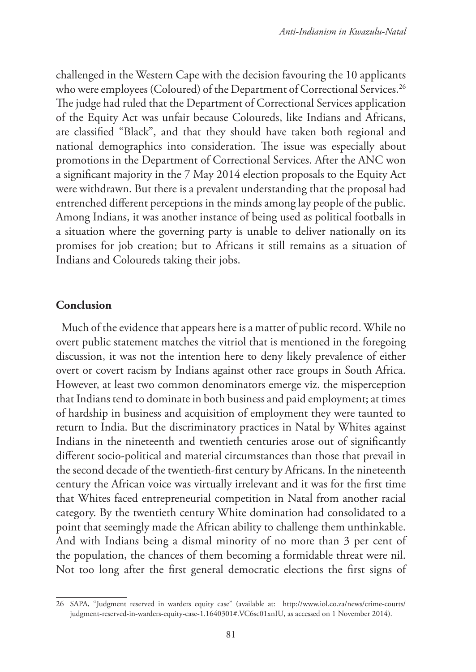challenged in the Western Cape with the decision favouring the 10 applicants who were employees (Coloured) of the Department of Correctional Services.<sup>26</sup> The judge had ruled that the Department of Correctional Services application of the Equity Act was unfair because Coloureds, like Indians and Africans, are classified "Black", and that they should have taken both regional and national demographics into consideration. The issue was especially about promotions in the Department of Correctional Services. After the ANC won a significant majority in the 7 May 2014 election proposals to the Equity Act were withdrawn. But there is a prevalent understanding that the proposal had entrenched different perceptions in the minds among lay people of the public. Among Indians, it was another instance of being used as political footballs in a situation where the governing party is unable to deliver nationally on its promises for job creation; but to Africans it still remains as a situation of Indians and Coloureds taking their jobs.

#### **Conclusion**

Much of the evidence that appears here is a matter of public record. While no overt public statement matches the vitriol that is mentioned in the foregoing discussion, it was not the intention here to deny likely prevalence of either overt or covert racism by Indians against other race groups in South Africa. However, at least two common denominators emerge viz. the misperception that Indians tend to dominate in both business and paid employment; at times of hardship in business and acquisition of employment they were taunted to return to India. But the discriminatory practices in Natal by Whites against Indians in the nineteenth and twentieth centuries arose out of significantly different socio-political and material circumstances than those that prevail in the second decade of the twentieth-first century by Africans. In the nineteenth century the African voice was virtually irrelevant and it was for the first time that Whites faced entrepreneurial competition in Natal from another racial category. By the twentieth century White domination had consolidated to a point that seemingly made the African ability to challenge them unthinkable. And with Indians being a dismal minority of no more than 3 per cent of the population, the chances of them becoming a formidable threat were nil. Not too long after the first general democratic elections the first signs of

<sup>26</sup> SAPA, "Judgment reserved in warders equity case" (available at: http://www.iol.co.za/news/crime-courts/ judgment-reserved-in-warders-equity-case-1.1640301#.VC6sc01xnIU, as accessed on 1 November 2014).